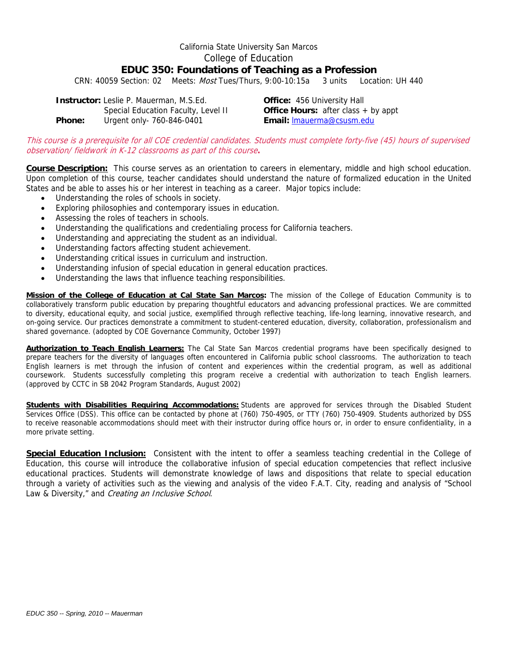# California State University San Marcos College of Education **EDUC 350: Foundations of Teaching as a Profession**

CRN: 40059 Section: 02 Meets: Most Tues/Thurs, 9:00-10:15a 3 units Location: UH 440

Phone: **Instructor:** Leslie P. Mauerman, M.S.Ed. **Office:** 456 University Hall Special Education Faculty, Level II **Office Hours:** after class + by appt **Phone:** Urgent only- 760-846-0401 **Email:** lmauerma@csusm.edu

This course is a prerequisite for all COE credential candidates. Students must complete forty-five (45) hours of supervised observation/ fieldwork in K-12 classrooms as part of this course**.** 

Course Description: This course serves as an orientation to careers in elementary, middle and high school education.<br>Upon completion of this course, teacher candidates should understand the nature of formalized education i States and be able to asses his or her interest in teaching as a career. Major topics include:

- Understanding the roles of schools in society.
- Exploring philosophies and contemporary issues in education.
- Assessing the roles of teachers in schools.
- Understanding the qualifications and credentialing process for California teachers.
- Understanding and appreciating the student as an individual.
- Understanding factors affecting student achievement.
- Understanding critical issues in curriculum and instruction.
- Understanding infusion of special education in general education practices.
- Understanding the laws that influence teaching responsibilities.

**Mission of the College of Education at Cal State San Marcos:** The mission of the College of Education Community is to collaboratively transform public education by preparing thoughtful educators and advancing professional practices. We are committed to diversity, educational equity, and social justice, exemplified through reflective teaching, life-long learning, innovative research, and on-going service. Our practices demonstrate a commitment to student-centered education, diversity, collaboration, professionalism and shared governance. (adopted by COE Governance Community, October 1997)

 coursework. Students successfully completing this program receive a credential with authorization to teach English learners. **Authorization to Teach English Learners:** The Cal State San Marcos credential programs have been specifically designed to prepare teachers for the diversity of languages often encountered in California public school classrooms. The authorization to teach English learners is met through the infusion of content and experiences within the credential program, as well as additional (approved by CCTC in SB 2042 Program Standards, August 2002)

**Students with Disabilities Requiring Accommodations:** Students are approved for services through the Disabled Student Services Office (DSS). This office can be contacted by phone at (760) 750-4905, or TTY (760) 750-4909. Students authorized by DSS to receive reasonable accommodations should meet with their instructor during office hours or, in order to ensure confidentiality, in a more private setting.

 **Special Education Inclusion:** Consistent with the intent to offer a seamless teaching credential in the College of Education, this course will introduce the collaborative infusion of special education competencies that reflect inclusive educational practices. Students will demonstrate knowledge of laws and dispositions that relate to special education through a variety of activities such as the viewing and analysis of the video F.A.T. City, reading and analysis of "School Law & Diversity," and Creating an Inclusive School.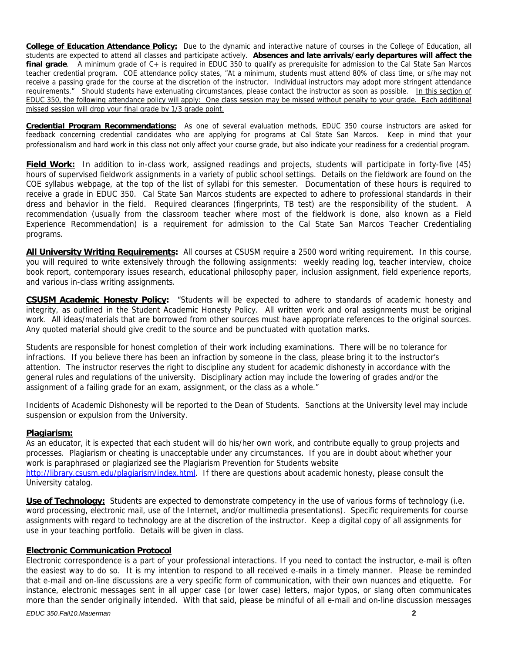**College of Education Attendance Policy:** Due to the dynamic and interactive nature of courses in the College of Education, all students are expected to attend all classes and participate actively. **Absences and late arrivals/early departures will affect the final grade**. A minimum grade of C+ is required in EDUC 350 to qualify as prerequisite for admission to the Cal State San Marcos teacher credential program. COE attendance policy states, "At a minimum, students must attend 80% of class time, or s/he may not receive a passing grade for the course at the discretion of the instructor. Individual instructors may adopt more stringent attendance requirements." Should students have extenuating circumstances, please contact the instructor as soon as possible. In this section of EDUC 350, the following attendance policy will apply: One class session may be missed without penalty to your grade. Each additional missed session will drop your final grade by 1/3 grade point.

**Credential Program Recommendations:** As one of several evaluation methods, EDUC 350 course instructors are asked for feedback concerning credential candidates who are applying for programs at Cal State San Marcos. Keep in mind that your professionalism and hard work in this class not only affect your course grade, but also indicate your readiness for a credential program.

**Field Work:** In addition to in-class work, assigned readings and projects, students will participate in forty-five (45) hours of supervised fieldwork assignments in a variety of public school settings. Details on the fieldwork are found on the COE syllabus webpage, at the top of the list of syllabi for this semester. Documentation of these hours is required to receive a grade in EDUC 350. Cal State San Marcos students are expected to adhere to professional standards in their dress and behavior in the field. Required clearances (fingerprints, TB test) are the responsibility of the student. A recommendation (usually from the classroom teacher where most of the fieldwork is done, also known as a Field Experience Recommendation) is a requirement for admission to the Cal State San Marcos Teacher Credentialing programs.

**All University Writing Requirements:** All courses at CSUSM require a 2500 word writing requirement. In this course, you will required to write extensively through the following assignments: weekly reading log, teacher interview, choice book report, contemporary issues research, educational philosophy paper, inclusion assignment, field experience reports, and various in-class writing assignments.

**CSUSM Academic Honesty Policy:** "Students will be expected to adhere to standards of academic honesty and integrity, as outlined in the Student Academic Honesty Policy. All written work and oral assignments must be original work. All ideas/materials that are borrowed from other sources must have appropriate references to the original sources. Any quoted material should give credit to the source and be punctuated with quotation marks.

Students are responsible for honest completion of their work including examinations. There will be no tolerance for infractions. If you believe there has been an infraction by someone in the class, please bring it to the instructor's attention. The instructor reserves the right to discipline any student for academic dishonesty in accordance with the general rules and regulations of the university. Disciplinary action may include the lowering of grades and/or the assignment of a failing grade for an exam, assignment, or the class as a whole."

Incidents of Academic Dishonesty will be reported to the Dean of Students. Sanctions at the University level may include suspension or expulsion from the University.

# **Plagiarism:**

As an educator, it is expected that each student will do his/her own work, and contribute equally to group projects and processes. Plagiarism or cheating is unacceptable under any circumstances. If you are in doubt about whether your work is paraphrased or plagiarized see the Plagiarism Prevention for Students website http://library.csusm.edu/plagiarism/index.html. If there are questions about academic honesty, please consult the University catalog.

**Use of Technology:** Students are expected to demonstrate competency in the use of various forms of technology (i.e. word processing, electronic mail, use of the Internet, and/or multimedia presentations). Specific requirements for course assignments with regard to technology are at the discretion of the instructor. Keep a digital copy of all assignments for use in your teaching portfolio. Details will be given in class.

# **Electronic Communication Protocol**

Electronic correspondence is a part of your professional interactions. If you need to contact the instructor, e-mail is often the easiest way to do so. It is my intention to respond to all received e-mails in a timely manner. Please be reminded that e-mail and on-line discussions are a very specific form of communication, with their own nuances and etiquette. For instance, electronic messages sent in all upper case (or lower case) letters, major typos, or slang often communicates more than the sender originally intended. With that said, please be mindful of all e-mail and on-line discussion messages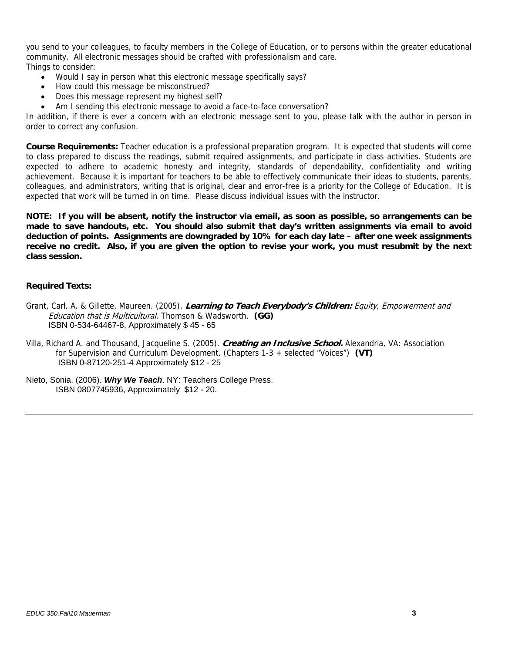you send to your colleagues, to faculty members in the College of Education, or to persons within the greater educational community. All electronic messages should be crafted with professionalism and care. Things to consider:

- Would I say in person what this electronic message specifically says?
- How could this message be misconstrued?
- Does this message represent my highest self?
- Am I sending this electronic message to avoid a face-to-face conversation?

In addition, if there is ever a concern with an electronic message sent to you, please talk with the author in person in order to correct any confusion.

**Course Requirements:** Teacher education is a professional preparation program. It is expected that students will come to class prepared to discuss the readings, submit required assignments, and participate in class activities. Students are expected to adhere to academic honesty and integrity, standards of dependability, confidentiality and writing achievement. Because it is important for teachers to be able to effectively communicate their ideas to students, parents, colleagues, and administrators, writing that is original, clear and error-free is a priority for the College of Education. It is expected that work will be turned in on time. Please discuss individual issues with the instructor.

**NOTE: If you will be absent, notify the instructor via email, as soon as possible, so arrangements can be made to save handouts, etc. You should also submit that day's written assignments via email to avoid deduction of points. Assignments are downgraded by 10% for each day late – after one week assignments receive no credit. Also, if you are given the option to revise your work, you must resubmit by the next class session.** 

## **Required Texts:**

- Education that is Multicultural. Thomson & Wadsworth. **(GG)**  Grant, Carl. A. & Gillette, Maureen. (2005). **Learning to Teach Everybody's Children:** Equity, Empowerment and ISBN 0-534-64467-8, Approximately \$ 45 - 65
- Villa, Richard A. and Thousand, Jacqueline S. (2005). **Creating an Inclusive School.** Alexandria, VA: Association for Supervision and Curriculum Development. (Chapters 1-3 + selected "Voices") **(VT)** ISBN 0-87120-251-4 Approximately \$12 - 25
- Nieto, Sonia. (2006). *Why We Teach*. NY: Teachers College Press. ISBN 0807745936, Approximately \$12 - 20.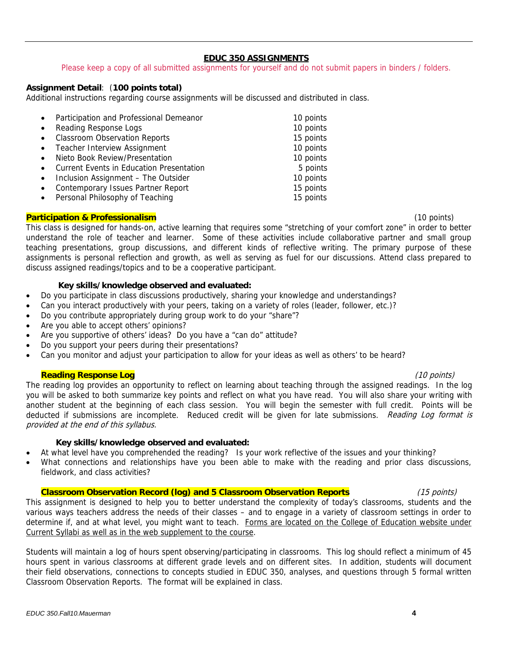# **EDUC 350 ASSIGNMENTS**

Please keep a copy of all submitted assignments for yourself and do not submit papers in binders / folders.

# **Assignment Detail**: (**100 points total)**

Additional instructions regarding course assignments will be discussed and distributed in class.

| $\bullet$ | Participation and Professional Demeanor         | 10 points |
|-----------|-------------------------------------------------|-----------|
| $\bullet$ | Reading Response Logs                           | 10 points |
| $\bullet$ | <b>Classroom Observation Reports</b>            | 15 points |
|           | • Teacher Interview Assignment                  | 10 points |
| $\bullet$ | Nieto Book Review/Presentation                  | 10 points |
| $\bullet$ | <b>Current Events in Education Presentation</b> | 5 points  |
| $\bullet$ | Inclusion Assignment - The Outsider             | 10 points |
| $\bullet$ | Contemporary Issues Partner Report              | 15 points |
| $\bullet$ | Personal Philosophy of Teaching                 | 15 points |

#### **Participation & Professionalism** (10 points)

This class is designed for hands-on, active learning that requires some "stretching of your comfort zone" in order to better understand the role of teacher and learner. Some of these activities include collaborative partner and small group teaching presentations, group discussions, and different kinds of reflective writing. The primary purpose of these assignments is personal reflection and growth, as well as serving as fuel for our discussions. Attend class prepared to discuss assigned readings/topics and to be a cooperative participant.

# **Key skills/knowledge observed and evaluated:**

- Do you participate in class discussions productively, sharing your knowledge and understandings?
- Can you interact productively with your peers, taking on a variety of roles (leader, follower, etc.)?
- Do you contribute appropriately during group work to do your "share"?
- Are you able to accept others' opinions?
- Are you supportive of others' ideas? Do you have a "can do" attitude?
- Do you support your peers during their presentations?
- Can you monitor and adjust your participation to allow for your ideas as well as others' to be heard?

#### **Reading Response Log** (10 points)

The reading log provides an opportunity to reflect on learning about teaching through the assigned readings. In the log you will be asked to both summarize key points and reflect on what you have read. You will also share your writing with another student at the beginning of each class session. You will begin the semester with full credit. Points will be deducted if submissions are incomplete. Reduced credit will be given for late submissions. Reading Log format is provided at the end of this syllabus.

# **Key skills/knowledge observed and evaluated:**

- At what level have you comprehended the reading? Is your work reflective of the issues and your thinking?
- What connections and relationships have you been able to make with the reading and prior class discussions, fieldwork, and class activities?

## **Classroom Observation Record (log) and 5 Classroom Observation Reports** (15 points) (15 points)

This assignment is designed to help you to better understand the complexity of today's classrooms, students and the various ways teachers address the needs of their classes – and to engage in a variety of classroom settings in order to determine if, and at what level, you might want to teach. Forms are located on the College of Education website under Current Syllabi as well as in the web supplement to the course.

Students will maintain a log of hours spent observing/participating in classrooms. This log should reflect a minimum of 45 hours spent in various classrooms at different grade levels and on different sites. In addition, students will document their field observations, connections to concepts studied in EDUC 350, analyses, and questions through 5 formal written Classroom Observation Reports. The format will be explained in class.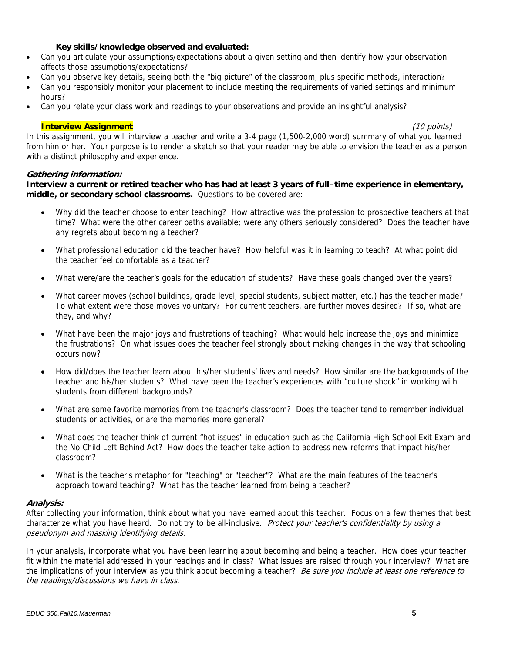### **Key skills/knowledge observed and evaluated:**

- Can you articulate your assumptions/expectations about a given setting and then identify how your observation affects those assumptions/expectations?
- Can you observe key details, seeing both the "big picture" of the classroom, plus specific methods, interaction?
- Can you responsibly monitor your placement to include meeting the requirements of varied settings and minimum hours?
- Can you relate your class work and readings to your observations and provide an insightful analysis?

#### **Interview Assignment** (10 points)

In this assignment, you will interview a teacher and write a 3-4 page (1,500-2,000 word) summary of what you learned from him or her. Your purpose is to render a sketch so that your reader may be able to envision the teacher as a person with a distinct philosophy and experience.

## **Gathering information:**

**Interview a current or retired teacher who has had at least 3 years of full–time experience in elementary, middle, or secondary school classrooms.** Questions to be covered are:

- Why did the teacher choose to enter teaching? How attractive was the profession to prospective teachers at that time? What were the other career paths available; were any others seriously considered? Does the teacher have any regrets about becoming a teacher?
- What professional education did the teacher have? How helpful was it in learning to teach? At what point did the teacher feel comfortable as a teacher?
- What were/are the teacher's goals for the education of students? Have these goals changed over the years?
- What career moves (school buildings, grade level, special students, subject matter, etc.) has the teacher made? To what extent were those moves voluntary? For current teachers, are further moves desired? If so, what are they, and why?
- What have been the major joys and frustrations of teaching? What would help increase the joys and minimize the frustrations? On what issues does the teacher feel strongly about making changes in the way that schooling occurs now?
- How did/does the teacher learn about his/her students' lives and needs? How similar are the backgrounds of the teacher and his/her students? What have been the teacher's experiences with "culture shock" in working with students from different backgrounds?
- What are some favorite memories from the teacher's classroom? Does the teacher tend to remember individual students or activities, or are the memories more general?
- What does the teacher think of current "hot issues" in education such as the California High School Exit Exam and the No Child Left Behind Act? How does the teacher take action to address new reforms that impact his/her classroom?
- What is the teacher's metaphor for "teaching" or "teacher"? What are the main features of the teacher's approach toward teaching? What has the teacher learned from being a teacher?

# **Analysis:**

After collecting your information, think about what you have learned about this teacher. Focus on a few themes that best characterize what you have heard. Do not try to be all-inclusive. Protect your teacher's confidentiality by using a pseudonym and masking identifying details.

In your analysis, incorporate what you have been learning about becoming and being a teacher. How does your teacher fit within the material addressed in your readings and in class? What issues are raised through your interview? What are the implications of your interview as you think about becoming a teacher? Be sure you include at least one reference to the readings/discussions we have in class.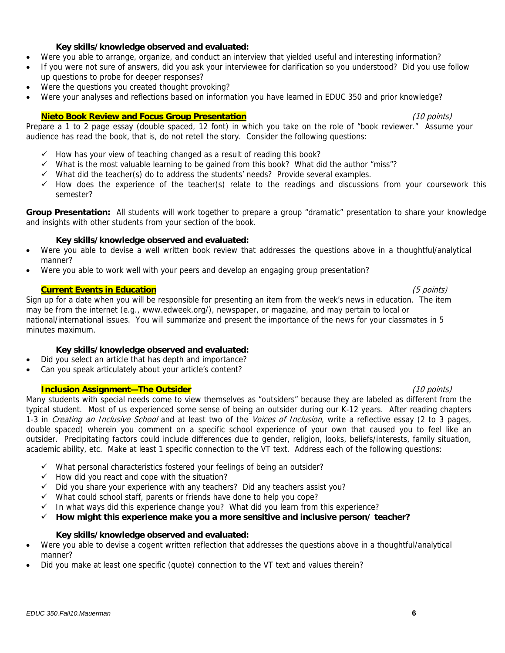## **Key skills/knowledge observed and evaluated:**

- Were you able to arrange, organize, and conduct an interview that yielded useful and interesting information?
- If you were not sure of answers, did you ask your interviewee for clarification so you understood? Did you use follow up questions to probe for deeper responses?
- Were the questions you created thought provoking?
- Were your analyses and reflections based on information you have learned in EDUC 350 and prior knowledge?

## **Nieto Book Review and Focus Group Presentation** (10 points)

Prepare a 1 to 2 page essay (double spaced, 12 font) in which you take on the role of "book reviewer." Assume your audience has read the book, that is, do not retell the story. Consider the following questions:

- $\checkmark$  How has your view of teaching changed as a result of reading this book?
- $\checkmark$  What is the most valuable learning to be gained from this book? What did the author "miss"?
- $\checkmark$  What did the teacher(s) do to address the students' needs? Provide several examples.
- $\checkmark$  How does the experience of the teacher(s) relate to the readings and discussions from your coursework this semester?

 **Group Presentation:** All students will work together to prepare a group "dramatic" presentation to share your knowledge and insights with other students from your section of the book.

## **Key skills/knowledge observed and evaluated:**

- Were you able to devise a well written book review that addresses the questions above in a thoughtful/analytical manner?
- Were you able to work well with your peers and develop an engaging group presentation?

## **Current Events in Education** (5 points)

Sign up for a date when you will be responsible for presenting an item from the week's news in education. The item may be from the internet (e.g., www.edweek.org/), newspaper, or magazine, and may pertain to local or national/international issues. You will summarize and present the importance of the news for your classmates in 5 minutes maximum.

# **Key skills/knowledge observed and evaluated:**

- Did you select an article that has depth and importance?
- Can you speak articulately about your article's content?

# **Inclusion Assignment—The Outsider** (10 points)

Many students with special needs come to view themselves as "outsiders" because they are labeled as different from the typical student. Most of us experienced some sense of being an outsider during our K-12 years. After reading chapters 1-3 in *Creating an Inclusive School* and at least two of the *Voices of Inclusion*, write a reflective essay (2 to 3 pages, double spaced) wherein you comment on a specific school experience of your own that caused you to feel like an outsider. Precipitating factors could include differences due to gender, religion, looks, beliefs/interests, family situation, academic ability, etc. Make at least 1 specific connection to the VT text. Address each of the following questions:

- $\checkmark$  What personal characteristics fostered your feelings of being an outsider?
- $\checkmark$  How did you react and cope with the situation?
- $\checkmark$  Did you share your experience with any teachers? Did any teachers assist you?
- $\checkmark$  What could school staff, parents or friends have done to help you cope?
- $\checkmark$  In what ways did this experience change you? What did you learn from this experience?
- **How might this experience make you a more sensitive and inclusive person/ teacher?**

#### **Key skills/knowledge observed and evaluated:**

- Were you able to devise a cogent written reflection that addresses the questions above in a thoughtful/analytical manner?
- Did you make at least one specific (quote) connection to the VT text and values therein?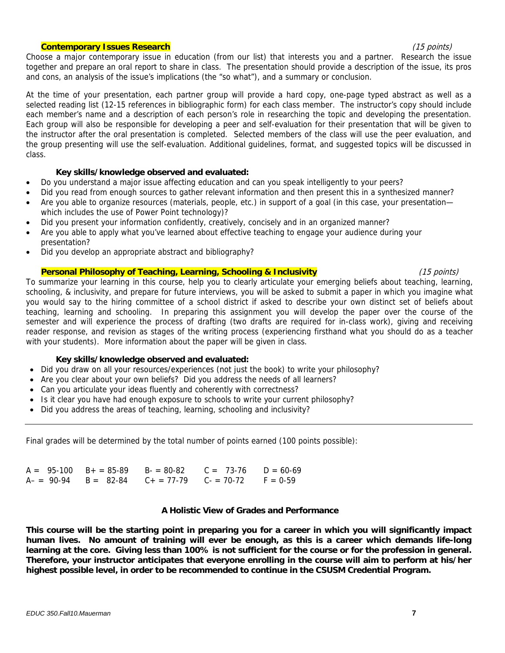#### **Contemporary Issues Research** (15 points)

and cons, an analysis of the issue's implications (the "so what"), and a summary or conclusion. Choose a major contemporary issue in education (from our list) that interests you and a partner. Research the issue together and prepare an oral report to share in class. The presentation should provide a description of the issue, its pros

At the time of your presentation, each partner group will provide a hard copy, one-page typed abstract as well as a selected reading list (12-15 references in bibliographic form) for each class member. The instructor's copy should include each member's name and a description of each person's role in researching the topic and developing the presentation. Each group will also be responsible for developing a peer and self-evaluation for their presentation that will be given to the instructor after the oral presentation is completed. Selected members of the class will use the peer evaluation, and the group presenting will use the self-evaluation. Additional guidelines, format, and suggested topics will be discussed in class.

#### **Key skills/knowledge observed and evaluated:**

- Do you understand a major issue affecting education and can you speak intelligently to your peers?
- Did you read from enough sources to gather relevant information and then present this in a synthesized manner?
- Are you able to organize resources (materials, people, etc.) in support of a goal (in this case, your presentation which includes the use of Power Point technology)?
- Did you present your information confidently, creatively, concisely and in an organized manner?
- Are you able to apply what you've learned about effective teaching to engage your audience during your presentation?
- Did you develop an appropriate abstract and bibliography?

# **Personal Philosophy of Teaching, Learning, Schooling & Inclusivity 15 Marrier 10 19 (15 points)** (15 points)

To summarize your learning in this course, help you to clearly articulate your emerging beliefs about teaching, learning, schooling, & inclusivity, and prepare for future interviews, you will be asked to submit a paper in which you imagine what you would say to the hiring committee of a school district if asked to describe your own distinct set of beliefs about teaching, learning and schooling. In preparing this assignment you will develop the paper over the course of the semester and will experience the process of drafting (two drafts are required for in-class work), giving and receiving reader response, and revision as stages of the writing process (experiencing firsthand what you should do as a teacher with your students). More information about the paper will be given in class.

# **Key skills/knowledge observed and evaluated:**

- Did you draw on all your resources/experiences (not just the book) to write your philosophy?
- Are you clear about your own beliefs? Did you address the needs of all learners?
- Can you articulate your ideas fluently and coherently with correctness?
- Is it clear you have had enough exposure to schools to write your current philosophy?
- Did you address the areas of teaching, learning, schooling and inclusivity?

Final grades will be determined by the total number of points earned (100 points possible):

|  | $A = 95-100$ $B + = 85-89$ $B = 80-82$ $C = 73-76$ $D = 60-69$ |  |
|--|----------------------------------------------------------------|--|
|  | $A- = 90-94$ $B = 82-84$ $C+ = 77-79$ $C- = 70-72$ $F = 0-59$  |  |

# **A Holistic View of Grades and Performance**

**This course will be the starting point in preparing you for a career in which you will significantly impact human lives. No amount of training will ever be enough, as this is a career which demands life-long learning at the core. Giving less than 100% is not sufficient for the course or for the profession in general. Therefore, your instructor anticipates that everyone enrolling in the course will aim to perform at his/her highest possible level, in order to be recommended to continue in the CSUSM Credential Program.**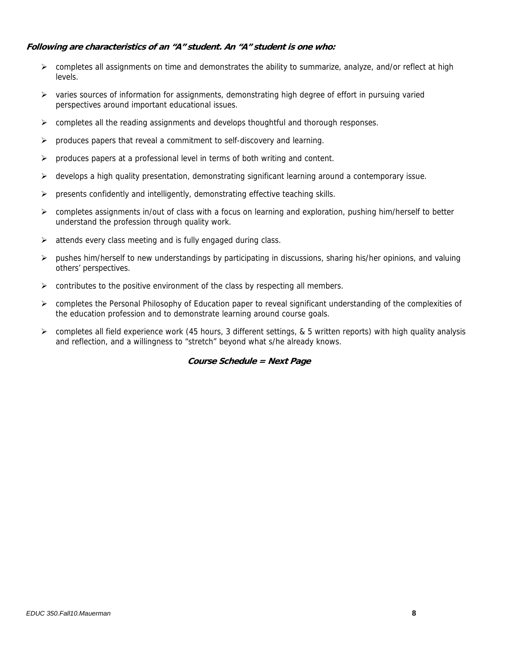# **Following are characteristics of an "A" student. An "A" student is one who:**

- $\triangleright$  completes all assignments on time and demonstrates the ability to summarize, analyze, and/or reflect at high levels.
- $\triangleright$  varies sources of information for assignments, demonstrating high degree of effort in pursuing varied perspectives around important educational issues.
- $\triangleright$  completes all the reading assignments and develops thought full and thorough responses.
- $\triangleright$  produces papers that reveal a commitment to self-discovery and learning.
- $\triangleright$  produces papers at a professional level in terms of both writing and content.
- $\triangleright$  develops a high quality presentation, demonstrating significant learning around a contemporary issue.
- $\triangleright$  presents confidently and intelligently, demonstrating effective teaching skills.
- completes assignments in/out of class with a focus on learning and exploration, pushing him/herself to better understand the profession through quality work.
- $\triangleright$  attends every class meeting and is fully engaged during class.
- pushes him/herself to new understandings by participating in discussions, sharing his/her opinions, and valuing others' perspectives.
- $\triangleright$  contributes to the positive environment of the class by respecting all members.
- completes the Personal Philosophy of Education paper to reveal significant understanding of the complexities of the education profession and to demonstrate learning around course goals.
- $\triangleright$  completes all field experience work (45 hours, 3 different settings, & 5 written reports) with high quality analysis and reflection, and a willingness to "stretch" beyond what s/he already knows.

# **Course Schedule = Next Page**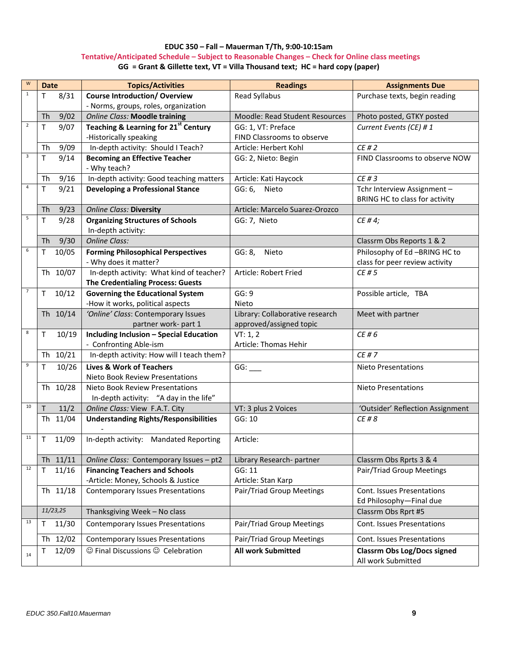#### **EDUC 350 – Fall – Mauerman T/Th, 9:00‐10:15am Tentative/Anticipated Schedule – Subject to Reasonable Changes – Check for Online class meetings** GG = Grant & Gillette text, VT = Villa Thousand text; HC = hard copy (paper)

| W              | <b>Date</b>           | <b>Topics/Activities</b>                                            | <b>Readings</b>                       | <b>Assignments Due</b>                                   |
|----------------|-----------------------|---------------------------------------------------------------------|---------------------------------------|----------------------------------------------------------|
| $\mathbf{1}$   | 8/31<br>Т             | <b>Course Introduction/ Overview</b>                                | Read Syllabus                         | Purchase texts, begin reading                            |
|                |                       | - Norms, groups, roles, organization                                |                                       |                                                          |
|                | 9/02<br>Th            | <b>Online Class: Moodle training</b>                                | <b>Moodle: Read Student Resources</b> | Photo posted, GTKY posted                                |
| $\overline{2}$ | 9/07<br>т             | <b>Teaching &amp; Learning for 21st Century</b>                     | GG: 1, VT: Preface                    | Current Events (CE) #1                                   |
|                |                       | -Historically speaking                                              | FIND Classrooms to observe            |                                                          |
|                | 9/09<br>Th            | In-depth activity: Should I Teach?                                  | Article: Herbert Kohl                 | CE#2                                                     |
| $\mathbf{3}$   | T<br>9/14             | <b>Becoming an Effective Teacher</b>                                | GG: 2, Nieto: Begin                   | FIND Classrooms to observe NOW                           |
|                |                       | - Why teach?                                                        |                                       |                                                          |
|                | 9/16<br>Th            | In-depth activity: Good teaching matters                            | Article: Kati Haycock                 | CE#3                                                     |
| $\overline{4}$ | 9/21<br>Τ             | <b>Developing a Professional Stance</b>                             | GG: 6<br>Nieto                        | Tchr Interview Assignment -                              |
|                |                       |                                                                     |                                       | BRING HC to class for activity                           |
|                | 9/23<br>Th            | <b>Online Class: Diversity</b>                                      | Article: Marcelo Suarez-Orozco        |                                                          |
| 5              | 9/28<br>Τ             | <b>Organizing Structures of Schools</b>                             | GG: 7, Nieto                          | CE #4;                                                   |
|                |                       | In-depth activity:                                                  |                                       |                                                          |
|                | 9/30<br>Th            | <b>Online Class:</b>                                                |                                       | Classrm Obs Reports 1 & 2                                |
| 6              | 10/05<br>т            | <b>Forming Philosophical Perspectives</b>                           | GG: 8,<br>Nieto                       | Philosophy of Ed -BRING HC to                            |
|                |                       | - Why does it matter?                                               |                                       | class for peer review activity                           |
|                | Th 10/07              | In-depth activity: What kind of teacher?                            | Article: Robert Fried                 | CE # 5                                                   |
|                |                       | <b>The Credentialing Process: Guests</b>                            |                                       |                                                          |
| $\overline{7}$ | 10/12<br>Т            | <b>Governing the Educational System</b>                             | GG: 9                                 | Possible article, TBA                                    |
|                |                       | -How it works, political aspects                                    | Nieto                                 |                                                          |
|                | Th 10/14              | 'Online' Class: Contemporary Issues                                 | Library: Collaborative research       | Meet with partner                                        |
| 8              |                       | partner work- part 1                                                | approved/assigned topic               |                                                          |
|                | 10/19<br>т            | <b>Including Inclusion - Special Education</b>                      | VT: 1, 2<br>Article: Thomas Hehir     | CE #6                                                    |
|                | Th 10/21              | - Confronting Able-ism<br>In-depth activity: How will I teach them? |                                       | CE # 7                                                   |
| 9              |                       |                                                                     |                                       |                                                          |
|                | 10/26<br>Τ            | <b>Lives &amp; Work of Teachers</b>                                 | GG:                                   | <b>Nieto Presentations</b>                               |
|                | Th 10/28              | Nieto Book Review Presentations<br>Nieto Book Review Presentations  |                                       |                                                          |
|                |                       | In-depth activity: "A day in the life"                              |                                       | <b>Nieto Presentations</b>                               |
| 10             | 11/2<br>T             | Online Class: View F.A.T. City                                      | VT: 3 plus 2 Voices                   | 'Outsider' Reflection Assignment                         |
|                | Th 11/04              | <b>Understanding Rights/Responsibilities</b>                        | GG: 10                                | CE # 8                                                   |
|                |                       |                                                                     |                                       |                                                          |
| 11             | 11/09<br>Τ            | In-depth activity: Mandated Reporting                               | Article:                              |                                                          |
|                |                       |                                                                     |                                       |                                                          |
|                | Th 11/11              | Online Class: Contemporary Issues - pt2                             | Library Research- partner             | Classrm Obs Rprts 3 & 4                                  |
| $12\,$         | 11/16<br>$\mathsf{T}$ | <b>Financing Teachers and Schools</b>                               | GG: 11                                | Pair/Triad Group Meetings                                |
|                |                       | -Article: Money, Schools & Justice                                  | Article: Stan Karp                    |                                                          |
|                | Th 11/18              | <b>Contemporary Issues Presentations</b>                            | Pair/Triad Group Meetings             | Cont. Issues Presentations                               |
|                |                       |                                                                     |                                       | Ed Philosophy-Final due                                  |
|                | 11/23,25              | Thanksgiving Week - No class                                        |                                       | Classrm Obs Rprt #5                                      |
| 13             | 11/30<br>т            | <b>Contemporary Issues Presentations</b>                            | Pair/Triad Group Meetings             | Cont. Issues Presentations                               |
|                | Th 12/02              | <b>Contemporary Issues Presentations</b>                            | Pair/Triad Group Meetings             | Cont. Issues Presentations                               |
| 14             | 12/09<br>т            | © Final Discussions © Celebration                                   | <b>All work Submitted</b>             | <b>Classrm Obs Log/Docs signed</b><br>All work Submitted |